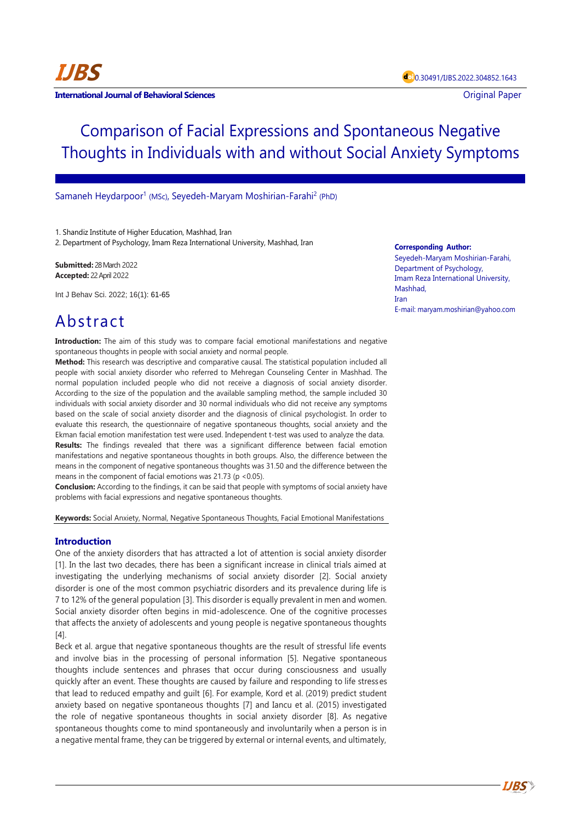# Comparison of Facial Expressions and Spontaneous Negative Thoughts in Individuals with and without Social Anxiety Symptoms

## Samaneh Heydarpoor<sup>1</sup> (MSc), Seyedeh-Maryam Moshirian-Farahi<sup>2</sup> (PhD)

1. Shandiz Institute of Higher Education, Mashhad, Iran

2. Department of Psychology, Imam Reza International University, Mashhad, Iran

**Submitted:** 28 March 2022 **Accepted:** 22 April 2022

Int J Behav Sci. 2022; 16(1): 61-65

# Abstract

**Introduction:** The aim of this study was to compare facial emotional manifestations and negative spontaneous thoughts in people with social anxiety and normal people.

**Method:** This research was descriptive and comparative causal. The statistical population included all people with social anxiety disorder who referred to Mehregan Counseling Center in Mashhad. The normal population included people who did not receive a diagnosis of social anxiety disorder. According to the size of the population and the available sampling method, the sample included 30 individuals with social anxiety disorder and 30 normal individuals who did not receive any symptoms based on the scale of social anxiety disorder and the diagnosis of clinical psychologist. In order to evaluate this research, the questionnaire of negative spontaneous thoughts, social anxiety and the Ekman facial emotion manifestation test were used. Independent t-test was used to analyze the data. **Results:** The findings revealed that there was a significant difference between facial emotion manifestations and negative spontaneous thoughts in both groups. Also, the difference between the means in the component of negative spontaneous thoughts was 31.50 and the difference between the means in the component of facial emotions was  $21.73$  (p <0.05).

**Conclusion:** According to the findings, it can be said that people with symptoms of social anxiety have problems with facial expressions and negative spontaneous thoughts.

**Keywords:** Social Anxiety, Normal, Negative Spontaneous Thoughts, Facial Emotional Manifestations

# **Introduction**

One of the anxiety disorders that has attracted a lot of attention is social anxiety disorder [1]. In the last two decades, there has been a significant increase in clinical trials aimed at investigating the underlying mechanisms of social anxiety disorder [2]. Social anxiety disorder is one of the most common psychiatric disorders and its prevalence during life is 7 to 12% of the general population [3]. This disorder is equally prevalent in men and women. Social anxiety disorder often begins in mid-adolescence. One of the cognitive processes that affects the anxiety of adolescents and young people is negative spontaneous thoughts  $[4]$ 

Beck et al. argue that negative spontaneous thoughts are the result of stressful life events and involve bias in the processing of personal information [5]. Negative spontaneous thoughts include sentences and phrases that occur during consciousness and usually quickly after an event. These thoughts are caused by failure and responding to life stresses that lead to reduced empathy and guilt [6]. For example, Kord et al. (2019) predict student anxiety based on negative spontaneous thoughts [7] and Iancu et al. (2015) investigated the role of negative spontaneous thoughts in social anxiety disorder [8]. As negative spontaneous thoughts come to mind spontaneously and involuntarily when a person is in a negative mental frame, they can be triggered by external or internal events, and ultimately,

#### **Corresponding Author:**

Seyedeh-Maryam Moshirian-Farahi, Department of Psychology, Imam Reza International University, Mashhad, Iran E-mail: maryam.moshirian@yahoo.com

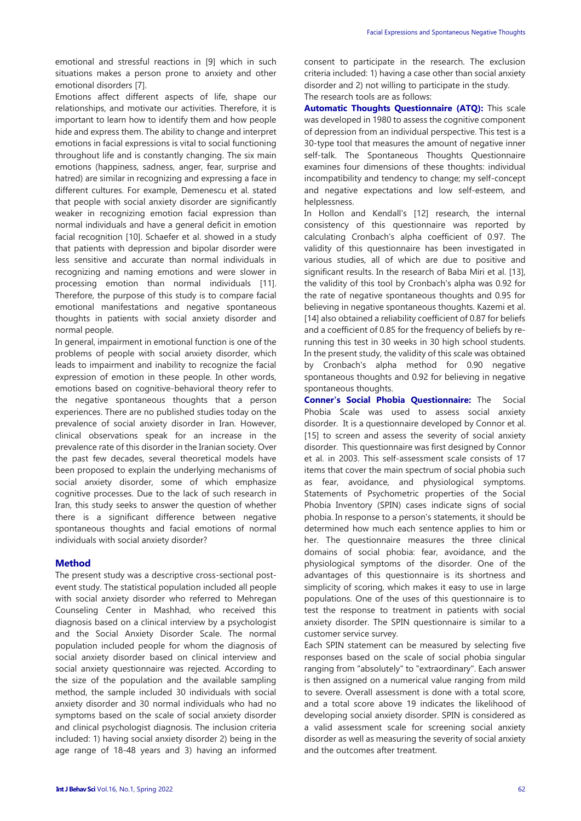emotional and stressful reactions in [9] which in such situations makes a person prone to anxiety and other emotional disorders [7].

Emotions affect different aspects of life, shape our relationships, and motivate our activities. Therefore, it is important to learn how to identify them and how people hide and express them. The ability to change and interpret emotions in facial expressions is vital to social functioning throughout life and is constantly changing. The six main emotions (happiness, sadness, anger, fear, surprise and hatred) are similar in recognizing and expressing a face in different cultures. For example, Demenescu et al. stated that people with social anxiety disorder are significantly weaker in recognizing emotion facial expression than normal individuals and have a general deficit in emotion facial recognition [10]. Schaefer et al. showed in a study that patients with depression and bipolar disorder were less sensitive and accurate than normal individuals in recognizing and naming emotions and were slower in processing emotion than normal individuals [11]. Therefore, the purpose of this study is to compare facial emotional manifestations and negative spontaneous thoughts in patients with social anxiety disorder and normal people.

In general, impairment in emotional function is one of the problems of people with social anxiety disorder, which leads to impairment and inability to recognize the facial expression of emotion in these people. In other words, emotions based on cognitive-behavioral theory refer to the negative spontaneous thoughts that a person experiences. There are no published studies today on the prevalence of social anxiety disorder in Iran. However, clinical observations speak for an increase in the prevalence rate of this disorder in the Iranian society. Over the past few decades, several theoretical models have been proposed to explain the underlying mechanisms of social anxiety disorder, some of which emphasize cognitive processes. Due to the lack of such research in Iran, this study seeks to answer the question of whether there is a significant difference between negative spontaneous thoughts and facial emotions of normal individuals with social anxiety disorder?

## **Method**

The present study was a descriptive cross-sectional postevent study. The statistical population included all people with social anxiety disorder who referred to Mehregan Counseling Center in Mashhad, who received this diagnosis based on a clinical interview by a psychologist and the Social Anxiety Disorder Scale. The normal population included people for whom the diagnosis of social anxiety disorder based on clinical interview and social anxiety questionnaire was rejected. According to the size of the population and the available sampling method, the sample included 30 individuals with social anxiety disorder and 30 normal individuals who had no symptoms based on the scale of social anxiety disorder and clinical psychologist diagnosis. The inclusion criteria included: 1) having social anxiety disorder 2) being in the age range of 18-48 years and 3) having an informed consent to participate in the research. The exclusion criteria included: 1) having a case other than social anxiety disorder and 2) not willing to participate in the study. The research tools are as follows:

**Automatic Thoughts Questionnaire (ATQ):** This scale was developed in 1980 to assess the cognitive component of depression from an individual perspective. This test is a 30-type tool that measures the amount of negative inner self-talk. The Spontaneous Thoughts Questionnaire examines four dimensions of these thoughts: individual incompatibility and tendency to change; my self-concept and negative expectations and low self-esteem, and helplessness.

In Hollon and Kendall's [12] research, the internal consistency of this questionnaire was reported by calculating Cronbach's alpha coefficient of 0.97. The validity of this questionnaire has been investigated in various studies, all of which are due to positive and significant results. In the research of Baba Miri et al. [13], the validity of this tool by Cronbach's alpha was 0.92 for the rate of negative spontaneous thoughts and 0.95 for believing in negative spontaneous thoughts. Kazemi et al. [14] also obtained a reliability coefficient of 0.87 for beliefs and a coefficient of 0.85 for the frequency of beliefs by rerunning this test in 30 weeks in 30 high school students. In the present study, the validity of this scale was obtained by Cronbach's alpha method for 0.90 negative spontaneous thoughts and 0.92 for believing in negative spontaneous thoughts.

**Conner's Social Phobia Questionnaire:** The Social Phobia Scale was used to assess social anxiety disorder. It is a questionnaire developed by Connor et al. [15] to screen and assess the severity of social anxiety disorder. This questionnaire was first designed by Connor et al. in 2003. This self-assessment scale consists of 17 items that cover the main spectrum of social phobia such as fear, avoidance, and physiological symptoms. Statements of Psychometric properties of the Social Phobia Inventory (SPIN) cases indicate signs of social phobia. In response to a person's statements, it should be determined how much each sentence applies to him or her. The questionnaire measures the three clinical domains of social phobia: fear, avoidance, and the physiological symptoms of the disorder. One of the advantages of this questionnaire is its shortness and simplicity of scoring, which makes it easy to use in large populations. One of the uses of this questionnaire is to test the response to treatment in patients with social anxiety disorder. The SPIN questionnaire is similar to a customer service survey.

Each SPIN statement can be measured by selecting five responses based on the scale of social phobia singular ranging from "absolutely" to "extraordinary". Each answer is then assigned on a numerical value ranging from mild to severe. Overall assessment is done with a total score, and a total score above 19 indicates the likelihood of developing social anxiety disorder. SPIN is considered as a valid assessment scale for screening social anxiety disorder as well as measuring the severity of social anxiety and the outcomes after treatment.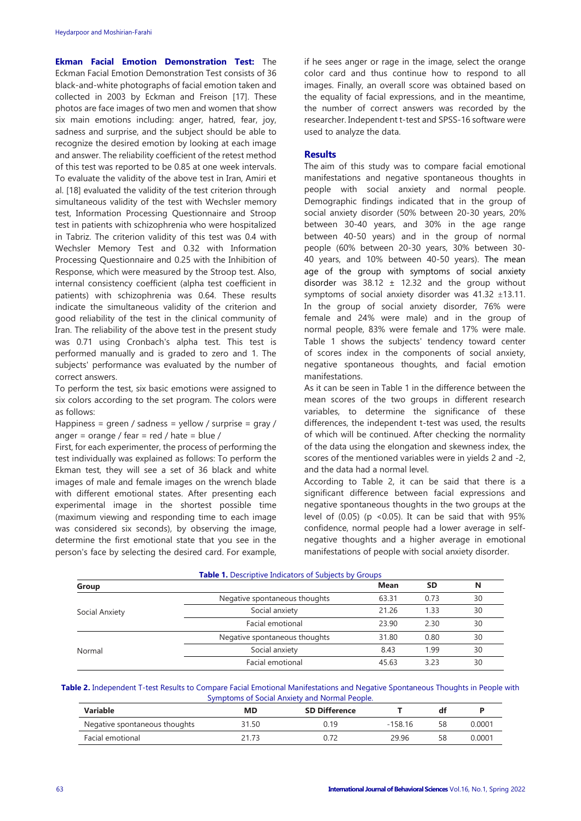**Ekman Facial Emotion Demonstration Test:** The Eckman Facial Emotion Demonstration Test consists of 36 black-and-white photographs of facial emotion taken and collected in 2003 by Eckman and Freison [17]. These photos are face images of two men and women that show six main emotions including: anger, hatred, fear, joy, sadness and surprise, and the subject should be able to recognize the desired emotion by looking at each image and answer. The reliability coefficient of the retest method of this test was reported to be 0.85 at one week intervals. To evaluate the validity of the above test in Iran, Amiri et al. [18] evaluated the validity of the test criterion through simultaneous validity of the test with Wechsler memory test, Information Processing Questionnaire and Stroop test in patients with schizophrenia who were hospitalized in Tabriz. The criterion validity of this test was 0.4 with Wechsler Memory Test and 0.32 with Information Processing Questionnaire and 0.25 with the Inhibition of Response, which were measured by the Stroop test. Also, internal consistency coefficient (alpha test coefficient in patients) with schizophrenia was 0.64. These results indicate the simultaneous validity of the criterion and good reliability of the test in the clinical community of Iran. The reliability of the above test in the present study was 0.71 using Cronbach's alpha test. This test is performed manually and is graded to zero and 1. The subjects' performance was evaluated by the number of correct answers.

To perform the test, six basic emotions were assigned to six colors according to the set program. The colors were as follows:

Happiness = green / sadness = yellow / surprise = gray / anger = orange / fear =  $red$  / hate = blue /

First, for each experimenter, the process of performing the test individually was explained as follows: To perform the Ekman test, they will see a set of 36 black and white images of male and female images on the wrench blade with different emotional states. After presenting each experimental image in the shortest possible time (maximum viewing and responding time to each image was considered six seconds), by observing the image, determine the first emotional state that you see in the person's face by selecting the desired card. For example, if he sees anger or rage in the image, select the orange color card and thus continue how to respond to all images. Finally, an overall score was obtained based on the equality of facial expressions, and in the meantime, the number of correct answers was recorded by the researcher. Independent t-test and SPSS-16 software were used to analyze the data.

## **Results**

The aim of this study was to compare facial emotional manifestations and negative spontaneous thoughts in people with social anxiety and normal people. Demographic findings indicated that in the group of social anxiety disorder (50% between 20-30 years, 20% between 30-40 years, and 30% in the age range between 40-50 years) and in the group of normal people (60% between 20-30 years, 30% between 30- 40 years, and 10% between 40-50 years). The mean age of the group with symptoms of social anxiety disorder was  $38.12 \pm 12.32$  and the group without symptoms of social anxiety disorder was  $41.32 \pm 13.11$ . In the group of social anxiety disorder, 76% were female and 24% were male) and in the group of normal people, 83% were female and 17% were male. Table 1 shows the subjects' tendency toward center of scores index in the components of social anxiety, negative spontaneous thoughts, and facial emotion manifestations.

As it can be seen in Table 1 in the difference between the mean scores of the two groups in different research variables, to determine the significance of these differences, the independent t-test was used, the results of which will be continued. After checking the normality of the data using the elongation and skewness index, the scores of the mentioned variables were in yields 2 and -2, and the data had a normal level.

According to Table 2, it can be said that there is a significant difference between facial expressions and negative spontaneous thoughts in the two groups at the level of  $(0.05)$  (p <0.05). It can be said that with 95% confidence, normal people had a lower average in selfnegative thoughts and a higher average in emotional manifestations of people with social anxiety disorder.

| <b>Table 1.</b> Descriptive Indicators of Subjects by Groups |                               |       |           |    |  |  |  |
|--------------------------------------------------------------|-------------------------------|-------|-----------|----|--|--|--|
| Group                                                        |                               | Mean  | <b>SD</b> | N  |  |  |  |
| Social Anxiety                                               | Negative spontaneous thoughts | 63.31 | 0.73      | 30 |  |  |  |
|                                                              | Social anxiety                | 21.26 | 1.33      | 30 |  |  |  |
|                                                              | Facial emotional              | 23.90 | 2.30      | 30 |  |  |  |
| Normal                                                       | Negative spontaneous thoughts | 31.80 | 0.80      | 30 |  |  |  |
|                                                              | Social anxiety                | 8.43  | 1.99      | 30 |  |  |  |
|                                                              | Facial emotional              | 45.63 | 3.23      | 30 |  |  |  |

#### **Table 2.** Independent T-test Results to Compare Facial Emotional Manifestations and Negative Spontaneous Thoughts in People with Symptoms of Social Anxiety and Normal People.

| <b>Variable</b>               | MD    | <b>SD Difference</b> |           | df |        |
|-------------------------------|-------|----------------------|-----------|----|--------|
| Negative spontaneous thoughts | 31.50 | 0.19                 | $-158.16$ | 58 | 0.0001 |
| Facial emotional              | 21.73 | ን.72                 | 29.96     | 58 | 0.0001 |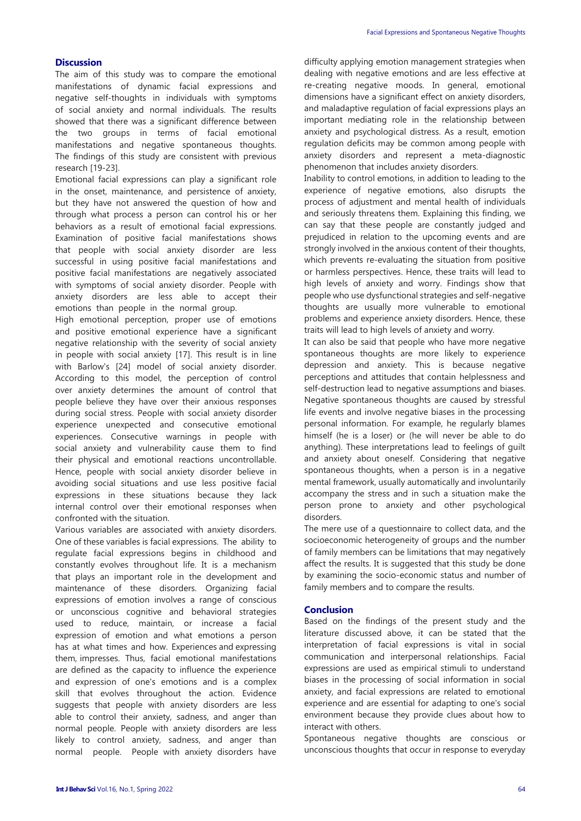# **Discussion**

The aim of this study was to compare the emotional manifestations of dynamic facial expressions and negative self-thoughts in individuals with symptoms of social anxiety and normal individuals. The results showed that there was a significant difference between the two groups in terms of facial emotional manifestations and negative spontaneous thoughts. The findings of this study are consistent with previous research [19-23].

Emotional facial expressions can play a significant role in the onset, maintenance, and persistence of anxiety, but they have not answered the question of how and through what process a person can control his or her behaviors as a result of emotional facial expressions. Examination of positive facial manifestations shows that people with social anxiety disorder are less successful in using positive facial manifestations and positive facial manifestations are negatively associated with symptoms of social anxiety disorder. People with anxiety disorders are less able to accept their emotions than people in the normal group.

High emotional perception, proper use of emotions and positive emotional experience have a significant negative relationship with the severity of social anxiety in people with social anxiety [17]. This result is in line with Barlow's [24] model of social anxiety disorder. According to this model, the perception of control over anxiety determines the amount of control that people believe they have over their anxious responses during social stress. People with social anxiety disorder experience unexpected and consecutive emotional experiences. Consecutive warnings in people with social anxiety and vulnerability cause them to find their physical and emotional reactions uncontrollable. Hence, people with social anxiety disorder believe in avoiding social situations and use less positive facial expressions in these situations because they lack internal control over their emotional responses when confronted with the situation.

Various variables are associated with anxiety disorders. One of these variables is facial expressions. The ability to regulate facial expressions begins in childhood and constantly evolves throughout life. It is a mechanism that plays an important role in the development and maintenance of these disorders. Organizing facial expressions of emotion involves a range of conscious or unconscious cognitive and behavioral strategies used to reduce, maintain, or increase a facial expression of emotion and what emotions a person has at what times and how. Experiences and expressing them, impresses. Thus, facial emotional manifestations are defined as the capacity to influence the experience and expression of one's emotions and is a complex skill that evolves throughout the action. Evidence suggests that people with anxiety disorders are less able to control their anxiety, sadness, and anger than normal people. People with anxiety disorders are less likely to control anxiety, sadness, and anger than normal people. People with anxiety disorders have difficulty applying emotion management strategies when dealing with negative emotions and are less effective at re-creating negative moods. In general, emotional dimensions have a significant effect on anxiety disorders, and maladaptive regulation of facial expressions plays an important mediating role in the relationship between anxiety and psychological distress. As a result, emotion regulation deficits may be common among people with anxiety disorders and represent a meta-diagnostic phenomenon that includes anxiety disorders.

Inability to control emotions, in addition to leading to the experience of negative emotions, also disrupts the process of adjustment and mental health of individuals and seriously threatens them. Explaining this finding, we can say that these people are constantly judged and prejudiced in relation to the upcoming events and are strongly involved in the anxious content of their thoughts, which prevents re-evaluating the situation from positive or harmless perspectives. Hence, these traits will lead to high levels of anxiety and worry. Findings show that people who use dysfunctional strategies and self-negative thoughts are usually more vulnerable to emotional problems and experience anxiety disorders. Hence, these traits will lead to high levels of anxiety and worry.

It can also be said that people who have more negative spontaneous thoughts are more likely to experience depression and anxiety. This is because negative perceptions and attitudes that contain helplessness and self-destruction lead to negative assumptions and biases. Negative spontaneous thoughts are caused by stressful life events and involve negative biases in the processing personal information. For example, he regularly blames himself (he is a loser) or (he will never be able to do anything). These interpretations lead to feelings of guilt and anxiety about oneself. Considering that negative spontaneous thoughts, when a person is in a negative mental framework, usually automatically and involuntarily accompany the stress and in such a situation make the person prone to anxiety and other psychological disorders.

The mere use of a questionnaire to collect data, and the socioeconomic heterogeneity of groups and the number of family members can be limitations that may negatively affect the results. It is suggested that this study be done by examining the socio-economic status and number of family members and to compare the results.

#### **Conclusion**

Based on the findings of the present study and the literature discussed above, it can be stated that the interpretation of facial expressions is vital in social communication and interpersonal relationships. Facial expressions are used as empirical stimuli to understand biases in the processing of social information in social anxiety, and facial expressions are related to emotional experience and are essential for adapting to one's social environment because they provide clues about how to interact with others.

Spontaneous negative thoughts are conscious or unconscious thoughts that occur in response to everyday